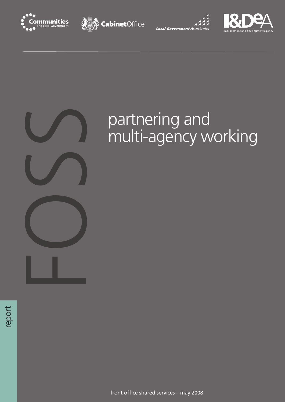







# partnering and<br>multi-agency w

# multi-agency working

report

front office shared services – may 2008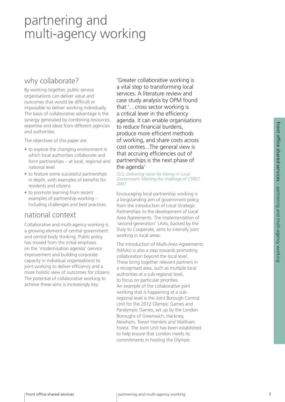#### why collaborate?

By working together, public service organisations can deliver value and outcomes that would be difficult or impossible to deliver working individually. The basis of collaborative advantage is the synergy generated by combining resources, expertise and ideas from different agencies and authorities.

The objectives of this paper are:

- to explore the changing environment in which local authorities collaborate and form partnerships – at local, regional and national level
- to feature some successful partnerships in depth, with examples of benefits for residents and citizens
- to promote learning from recent examples of partnership working – including challenges and best practices

#### national context

Collaborative and multi-agency working is a growing element of central government and central body thinking. Public policy has moved from the initial emphasis on the 'modernisation agenda' (service improvement and building corporate capacity in individual organisations) to joint working to deliver efficiency and a more holistic view of outcomes for citizens. The potential of collaborative working to achieve these aims is increasingly key.

'Greater collaborative working is a vital step to transforming local services. A literature review and case study analysis by OPM found that '…cross sector working is a critical lever in the efficiency agenda. It can enable organisations to reduce financial burdens, produce more efficient methods of working, and share costs across cost centres...The general view is that accruing efficiencies out of partnerships is the next phase of the agenda'

*CLG, Delivering Value for Money in Local Government: Meeting the challenge of CSR07, 2007*

Encouraging local partnership working is a longstanding aim of government policy, from the introduction of Local Strategic Partnerships to the development of Local Area Agreements. The implementation of 'second-generation' LAAs, backed by the Duty to Cooperate, aims to intensify joint working in local areas.

The introduction of Multi-Area Agreements (MAAs) is also a step towards promoting collaboration beyond the local level. These bring together relevant partners in a recognised area, such as multiple local authorities at a sub-regional level, to focus on particular priorities. An example of the collaborative joint working that is happening at a subregional level is the Joint Borough Central Unit for the 2012 Olympic Games and Paralympic Games, set up by the London Boroughs of Greenwich, Hackney, Newham, Tower Hamlets and Waltham Forest. The Joint Unit has been established to help ensure that London meets its commitments in hosting the Olympic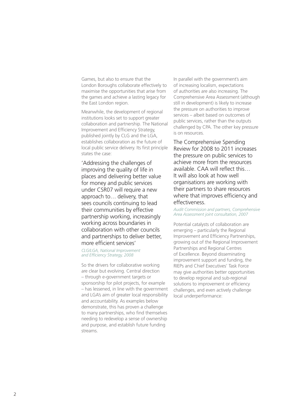Games, but also to ensure that the London Boroughs collaborate effectively to maximise the opportunities that arise from the games and achieve a lasting legacy for the East London region.

Meanwhile, the development of regional institutions looks set to support greater collaboration and partnership. The National Improvement and Efficiency Strategy, published jointly by CLG and the LGA, establishes collaboration as the future of local public service delivery. Its first principle states the case:

'Addressing the challenges of improving the quality of life in places and delivering better value for money and public services under CSR07 will require a new approach to… delivery, that sees councils continuing to lead their communities by effective partnership working, increasingly working across boundaries in collaboration with other councils and partnerships to deliver better, more efficient services'

*CLG/LGA, National Improvement and Efficiency Strategy, 2008*

So the drivers for collaborative working are clear but evolving. Central direction – through e-government targets or sponsorship for pilot projects, for example – has lessened, in line with the government and LGA's aim of greater local responsibility and accountability. As examples below demonstrate, this has proven a challenge to many partnerships, who find themselves needing to redevelop a sense of ownership and purpose, and establish future funding streams.

In parallel with the government's aim of increasing localism, expectations of authorities are also increasing. The Comprehensive Area Assessment (although still in development) is likely to increase the pressure on authorities to improve services – albeit based on outcomes of public services, rather than the outputs challenged by CPA. The other key pressure is on resources.

The Comprehensive Spending Review for 2008 to 2011 increases the pressure on public services to achieve more from the resources available. CAA will reflect this… It will also look at how well organisations are working with their partners to share resources where that improves efficiency and effectiveness.

#### *Audit Commission and partners, Comprehensive Area Assessment joint consultation, 2007*

Potential catalysts of collaboration are emerging – particularly the Regional Improvement and Efficiency Partnerships, growing out of the Regional Improvement Partnerships and Regional Centres of Excellence. Beyond disseminating improvement support and funding, the RIEPs and Chief Executives' Task Force may give authorities better opportunities to develop regional and sub-regional solutions to improvement or efficiency challenges, and even actively challenge local underperformance: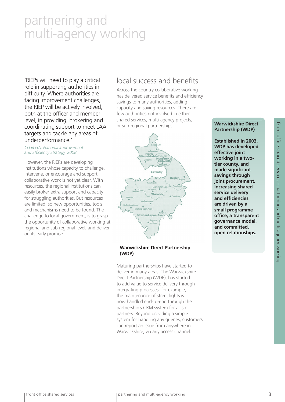'RIEPs will need to play a critical role in supporting authorities in difficulty. Where authorities are facing improvement challenges, the RIEP will be actively involved, both at the officer and member level, in providing, brokering and coordinating support to meet LAA targets and tackle any areas of underperformance.'

#### *CLG/LGA, National Improvement and Efficiency Strategy, 2008*

However, the RIEPs are developing institutions whose capacity to challenge, intervene, or encourage and support collaborative work is not yet clear. With resources, the regional institutions can easily broker extra support and capacity for struggling authorities. But resources are limited, so new opportunities, tools and mechanisms need to be found. The challenge to local government, is to grasp the opportunity of collaborative working at regional and sub-regional level, and deliver on its early promise.

#### local success and benefits

Across the country collaborative working has delivered service benefits and efficiency savings to many authorities, adding capacity and saving resources. There are few authorities not involved in either shared services, multi-agency projects, or sub-regional partnerships.



#### **Warwickshire Direct Partnership (WDP)**

Maturing partnerships have started to deliver in many areas. The Warwickshire Direct Partnership (WDP), has started to add value to service delivery through integrating processes: for example, the maintenance of street lights is now handled end-to-end through the partnership's CRM system for all six partners. Beyond providing a simple system for handling any queries, customers can report an issue from anywhere in Warwickshire, via any access channel.

#### **Warwickshire Direct Partnership (WDP)**

**Established in 2003, WDP has developed effective joint working in a twotier county, and made significant savings through joint procurement. Increasing shared service delivery and efficiencies are driven by a small programme office, a transparent governance model, and committed, open relationships.**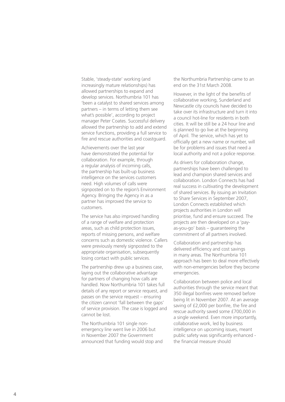Stable, 'steady-state' working (and increasingly mature relationships) has allowed partnerships to expand and develop services. Northumbria 101 has 'been a catalyst to shared services among partners – in terms of letting them see what's possible', according to project manager Peter Coates. Successful delivery allowed the partnership to add and extend service functions, providing a full service to fire and rescue authorities and coastguard.

Achievements over the last year have demonstrated the potential for collaboration. For example, through a regular analysis of incoming calls, the partnership has built-up business intelligence on the services customers need. High volumes of calls were signposted on to the region's Environment Agency. Bringing the Agency in as a partner has improved the service to customers.

The service has also improved handling of a range of welfare and protection areas, such as child protection issues, reports of missing persons, and welfare concerns such as domestic violence. Callers were previously merely signposted to the appropriate organisation, subsequently losing contact with public services.

The partnership drew up a business case, laying out the collaborative advantage for partners of changing how calls are handled. Now Northumbria 101 takes full details of any report or service request, and passes on the service request – ensuring the citizen cannot 'fall between the gaps' of service provision. The case is logged and cannot be lost.

The Northumbria 101 single nonemergency line went live in 2006 but in November 2007 the Government announced that funding would stop and the Northumbria Partnership came to an end on the 31st March 2008.

However, in the light of the benefits of collaborative working, Sunderland and Newcastle city councils have decided to take over its infrastructure and turn it into a council hot-line for residents in both cities. It will be still be a 24 hour line and is planned to go live at the beginning of April. The service, which has yet to officially get a new name or number, will be for problems and issues that need a local authority and not a police response.

As drivers for collaboration change, partnerships have been challenged to lead and champion shared services and collaboration. London Connects has had real success in cultivating the development of shared services. By issuing an Invitation to Share Services in September 2007, London Connects established which projects authorities in London will prioritise, fund and ensure succeed. The projects are then developed on a 'payas-you-go' basis – guaranteeing the commitment of all partners involved.

Collaboration and partnership has delivered efficiency and cost savings in many areas. The Northumbria 101 approach has been to deal more effectively with non-emergencies before they become emergencies.

Collaboration between police and local authorities through the service meant that 350 illegal bonfires were removed before being lit in November 2007. At an average saving of £2,000 per bonfire, the fire and rescue authority saved some £700,000 in a single weekend. Even more importantly, collaborative work, led by business intelligence on upcoming issues, meant public safety was significantly enhanced the financial measure should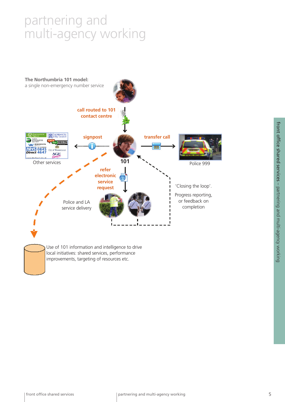

front office shared services – partnering and multi-agency working front office shared services – partnering and multi-agency working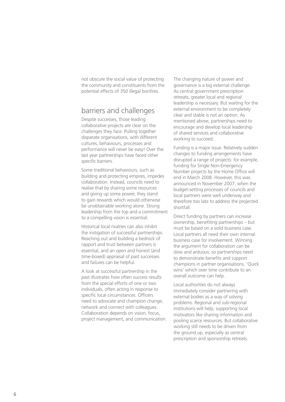not obscure the social value of protecting the community and constituents from the potential effects of 350 illegal bonfires.

#### barriers and challenges

Despite successes, those leading collaborative projects are clear on the challenges they face. Pulling together disparate organisations, with different cultures, behaviours, processes and performance will never be easy! Over the last year partnerships have faced other specific barriers.

Some traditional behaviours, such as building and protecting empires, impedes collaboration. Instead, councils need to realise that by sharing some resources and giving up some power, they stand to gain rewards which would otherwise be unobtainable working alone. Strong leadership from the top and a commitment to a compelling vision is essential.

Historical local rivalries can also inhibit the instigation of successful partnerships. Reaching out and building a bedrock of rapport and trust between partners is essential, and an open and honest (and time-boxed) appraisal of past successes and failures can be helpful.

A look at successful partnership in the past illustrates how often success results from the special efforts of one or two individuals, often acting in response to specific local circumstances. Officers need to advocate and champion change, network and connect with colleagues. Collaboration depends on vision, focus, project management, and communication.

The changing nature of power and governance is a big external challenge. As central government prescription retreats, greater local and regional leadership is necessary. But waiting for the external environment to be completely clear and stable is not an option. As mentioned above, partnerships need to encourage and develop local leadership of shared services and collaborative working to succeed.

Funding is a major issue. Relatively sudden changes to funding arrangements have disrupted a range of projects: for example, funding for Single Non-Emergency Number projects by the Home Office will end in March 2008. However, this was announced in November 2007, when the budget-setting processes of councils and local partners were well underway and therefore too late to address the projected shortfall.

Direct funding by partners can increase ownership, benefiting partnerships – but must be based on a solid business case. Local partners all need their own internal business case for involvement. Winning the argument for collaboration can be slow and arduous, so partnerships need to demonstrate benefits and support champions in partner organisations. 'Quick wins' which over time contribute to an overall outcome can help.

Local authorities do not always immediately consider partnering with external bodies as a way of solving problems. Regional and sub-regional institutions will help, supporting local motivators like sharing information and pooling scarce resources. But collaborative working still needs to be driven from the ground up, especially as central prescription and sponsorship retreats.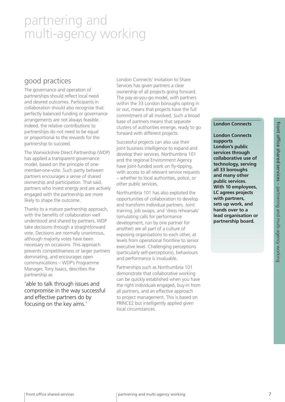#### good practices

The governance and operation of partnerships should reflect local need and desired outcomes. Participants in collaboration should also recognise that perfectly balanced funding or governance arrangements are not always feasible. Indeed, the relative contributions to partnerships do not need to be equal or proportional to the rewards for the partnership to succeed.

The Warwickshire Direct Partnership (WDP) has applied a transparent governance model, based on the principle of onemember-one-vote. Such parity between partners encourages a sense of shared ownership and participation. That said, partners who invest energy and are actively engaged with the partnership are more likely to shape the outcome.

Thanks to a mature partnership approach, with the benefits of collaboration well understood and shared by partners, WDP take decisions through a straightforward vote. Decisions are normally unanimous, although majority votes have been necessary on occasions. This approach prevents competitiveness or larger partners dominating, and encourages open communications – WDP's Programme Manager, Tony Isaacs, describes the partnership as

'able to talk through issues and compromise in the way successful and effective partners do by focusing on the key aims.'

London Connects' Invitation to Share Services has given partners a clear ownership of all projects going forward. The pay-as-you-go model, with partners within the 33 London boroughs opting in or out, means that projects have the full commitment of all involved. Such a broad base of partners means that separate clusters of authorities emerge, ready to go forward with different projects.

Successful projects can also use their joint business intelligence to expand and develop their services. Northumbria 101 and the regional Environment Agency have joint-funded work on fly-tipping. with access to all relevant service requests – whether to local authorities, police, or other public services.

Northumbria 101 has also exploited the opportunities of collaboration to develop and transform individual partners. Joint training, job swaps, and 'dress rehearsals' (simulating calls for performance development, run by one partner for another) are all part of a culture of exposing organisations to each other, at levels from operational frontline to senior executive level. Challenging perceptions (particularly self-perceptions), behaviours and performance is invaluable.

Partnerships such as Northumbria 101 demonstrate that collaborative working can be quickly established when you have the right individuals engaged, buy-in from all partners, and an effective approach to project management. This is based on PRINCE2 but intelligently applied given local circumstances.

#### **London Connects**

**London Connects supports London's public services through collaborative use of technology, serving all 33 boroughs and many other public services. With 10 employees, LC agrees projects with partners, sets up work, and hands over to a lead organisation or partnership board.**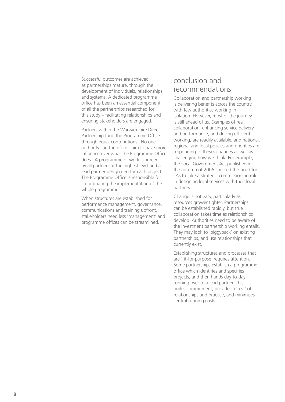Successful outcomes are achieved as partnerships mature, through the development of individuals, relationships, and systems. A dedicated programme office has been an essential component of all the partnerships researched for this study – facilitating relationships and ensuring stakeholders are engaged.

Partners within the Warwickshire Direct Partnership fund the Programme Office through equal contributions. No one authority can therefore claim to have more influence over what the Programme Office does. A programme of work is agreed by all partners at the highest level and a lead partner designated for each project. The Programme Office is responsible for co-ordinating the implementation of the whole programme.

When structures are established for performance management, governance, communications and training upfront, stakeholders need less 'management' and programme offices can be streamlined.

#### conclusion and recommendations

Collaboration and partnership working is delivering benefits across the country, with few authorities working in isolation. However, most of the journey is still ahead of us. Examples of real collaboration, enhancing service delivery and performance, and driving efficient working, are readily available, and national, regional and local policies and priorities are responding to theses changes as well as challenging how we think. For example, the Local Government Act published in the autumn of 2006 stressed the need for LAs to take a strategic commissioning role in designing local services with their local partners.

Change is not easy, particularly as resources grower tighter. Partnerships can be established rapidly, but true collaboration takes time as relationships develop. Authorities need to be aware of the investment partnership working entails. They may look to 'piggyback' on existing partnerships, and use relationships that currently exist.

Establishing structures and processes that are 'fit-for-purpose' requires attention. Some partnerships establish a programme office which identifies and specifies projects, and then hands day-to-day running over to a lead partner. This builds commitment, provides a 'test' of relationships and practise, and minimises central running costs.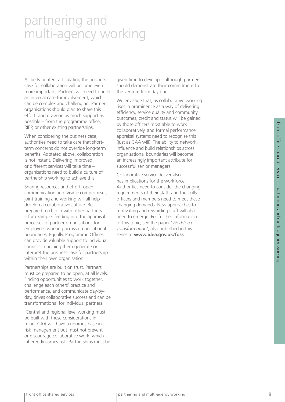As belts tighten, articulating the business case for collaboration will become even more important. Partners will need to build an internal case for involvement, which can be complex and challenging. Partner organisations should plan to share this effort, and draw on as much support as possible – from the programme office, RIEP, or other existing partnerships.

When considering the business case, authorities need to take care that shortterm concerns do not override long-term benefits. As stated above, collaboration is not instant. Delivering improved or different services will take time – organisations need to build a culture of partnership working to achieve this.

Sharing resources and effort, open communication and 'visible compromise', joint training and working will all help develop a collaborative culture. Be prepared to chip in with other partners – for example, feeding into the appraisal processes of partner organisations for employees working across organisational boundaries. Equally, Programme Offices can provide valuable support to individual councils in helping them generate or interpret the business case for partnership within their own organisation.

Partnerships are built on trust. Partners must be prepared to be open, at all levels. Finding opportunities to work together, challenge each others' practice and performance, and communicate day-byday, drives collaborative success and can be transformational for individual partners.

 Central and regional level working must be built with these considerations in mind. CAA will have a rigorous base in risk management but must not prevent or discourage collaborative work, which inherently carries risk. Partnerships must be

given time to develop – although partners should demonstrate their commitment to the venture from day one.

We envisage that, as collaborative working rises in prominence as a way of delivering efficiency, service quality and community outcomes, credit and status will be gained by those officers most able to work collaboratively, and formal performance appraisal systems need to recognise this (just as CAA will). The ability to network, influence and build relationships across organisational boundaries will become an increasingly important attribute for successful senior managers.

Collaborative service deliver also has implications for the workforce. Authorities need to consider the changing requirements of their staff, and the skills officers and members need to meet these changing demands. New approaches to motivating and rewarding staff will also need to emerge. For further information of this topic, see the paper **'***Workforce Transformation'*, also published in this series at **www.idea.gov.uk/foss**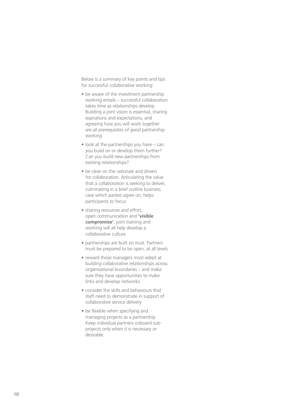Below is a summary of key points and tips for successful collaborative working:

- be aware of the investment partnership working entails – successful collaboration takes time as relationships develop. Building a joint vision is essential, sharing aspirations and expectations, and agreeing how you will work together are all prerequisites of good partnership working
- $\bullet$  look at the partnerships you have can you build on or develop them further? Can you build new partnerships from existing relationships?
- be clear on the rationale and drivers for collaboration. Articulating the value that a collaboration is seeking to deliver, culminating in a brief outline business case which parties agree on, helps participants to focus
- sharing resources and effort, open communication and **'visible compromise'**, joint training and working will all help develop a collaborative culture
- partnerships are built on trust. Partners must be prepared to be open, at all levels
- reward those managers most adept at building collaborative relationships across organisational boundaries – and make sure they have opportunities to make links and develop networks
- consider the skills and behaviours that staff need to demonstrate in support of collaborative service delivery
- be flexible when specifying and managing projects as a partnership. Keep individual partners onboard subprojects only when it is necessary or desirable.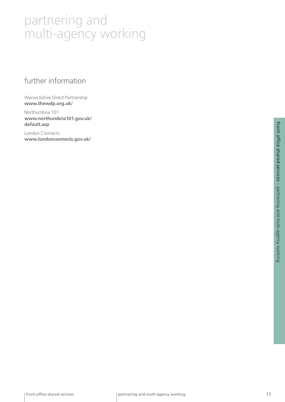#### further information

Warwickshire Direct Partnership **www.thewdp.org.uk/** 

Northumbria 101 **www.northumbria101.gov.uk/ default.asp** 

London Connects **www.londonconnects.gov.uk/**